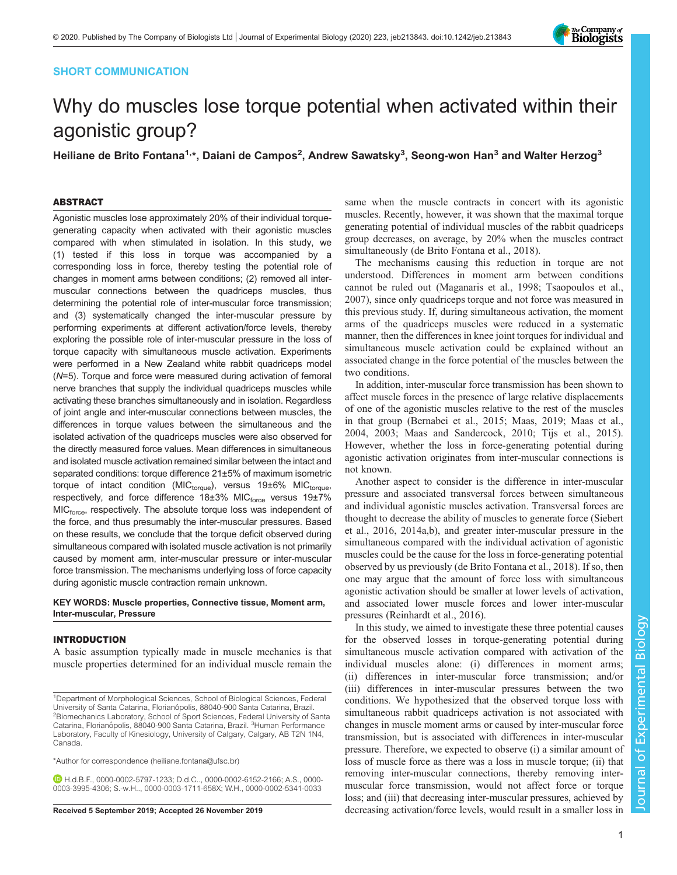# SHORT COMMUNICATION



# Why do muscles lose torque potential when activated within their agonistic group?

Heiliane de Brito Fontana<sup>1,</sup>\*, Daiani de Campos<sup>2</sup>, Andrew Sawatsky<sup>3</sup>, Seong-won Han<sup>3</sup> and Walter Herzog<sup>3</sup>

# ABSTRACT

Agonistic muscles lose approximately 20% of their individual torquegenerating capacity when activated with their agonistic muscles compared with when stimulated in isolation. In this study, we (1) tested if this loss in torque was accompanied by a corresponding loss in force, thereby testing the potential role of changes in moment arms between conditions; (2) removed all intermuscular connections between the quadriceps muscles, thus determining the potential role of inter-muscular force transmission; and (3) systematically changed the inter-muscular pressure by performing experiments at different activation/force levels, thereby exploring the possible role of inter-muscular pressure in the loss of torque capacity with simultaneous muscle activation. Experiments were performed in a New Zealand white rabbit quadriceps model (N=5). Torque and force were measured during activation of femoral nerve branches that supply the individual quadriceps muscles while activating these branches simultaneously and in isolation. Regardless of joint angle and inter-muscular connections between muscles, the differences in torque values between the simultaneous and the isolated activation of the quadriceps muscles were also observed for the directly measured force values. Mean differences in simultaneous and isolated muscle activation remained similar between the intact and separated conditions: torque difference 21±5% of maximum isometric torque of intact condition (MIC $_{\text{torque}}$ ), versus 19 $\pm$ 6% MIC $_{\text{torque}}$ , respectively, and force difference  $18\pm3\%$  MIC<sub>force</sub> versus  $19\pm7\%$ MIC<sub>force</sub>, respectively. The absolute torque loss was independent of the force, and thus presumably the inter-muscular pressures. Based on these results, we conclude that the torque deficit observed during simultaneous compared with isolated muscle activation is not primarily caused by moment arm, inter-muscular pressure or inter-muscular force transmission. The mechanisms underlying loss of force capacity during agonistic muscle contraction remain unknown.

## KEY WORDS: Muscle properties, Connective tissue, Moment arm, Inter-muscular, Pressure

# INTRODUCTION

A basic assumption typically made in muscle mechanics is that muscle properties determined for an individual muscle remain the

\*Author for correspondence [\(heiliane.fontana@ufsc.br\)](mailto:heiliane.fontana@ufsc.br)

H.d.B.F., [0000-0002-5797-1233;](http://orcid.org/0000-0002-5797-1233) D.d.C.., [0000-0002-6152-2166](http://orcid.org/0000-0002-6152-2166); A.S., [0000-](http://orcid.org/0000-0003-3995-4306) [0003-3995-4306;](http://orcid.org/0000-0003-3995-4306) S.-w.H.., [0000-0003-1711-658X;](http://orcid.org/0000-0003-1711-658X) W.H., [0000-0002-5341-0033](http://orcid.org/0000-0002-5341-0033)

same when the muscle contracts in concert with its agonistic muscles. Recently, however, it was shown that the maximal torque generating potential of individual muscles of the rabbit quadriceps group decreases, on average, by 20% when the muscles contract simultaneously ([de Brito Fontana et al., 2018\)](#page-4-0).

The mechanisms causing this reduction in torque are not understood. Differences in moment arm between conditions cannot be ruled out ([Maganaris et al., 1998](#page-4-0); [Tsaopoulos et al.,](#page-4-0) [2007\)](#page-4-0), since only quadriceps torque and not force was measured in this previous study. If, during simultaneous activation, the moment arms of the quadriceps muscles were reduced in a systematic manner, then the differences in knee joint torques for individual and simultaneous muscle activation could be explained without an associated change in the force potential of the muscles between the two conditions.

In addition, inter-muscular force transmission has been shown to affect muscle forces in the presence of large relative displacements of one of the agonistic muscles relative to the rest of the muscles in that group ([Bernabei et al., 2015](#page-4-0); [Maas, 2019](#page-4-0); [Maas et al.,](#page-4-0) [2004, 2003; Maas and Sandercock, 2010; Tijs et al., 2015\)](#page-4-0). However, whether the loss in force-generating potential during agonistic activation originates from inter-muscular connections is not known.

Another aspect to consider is the difference in inter-muscular pressure and associated transversal forces between simultaneous and individual agonistic muscles activation. Transversal forces are thought to decrease the ability of muscles to generate force [\(Siebert](#page-4-0) [et al., 2016, 2014a,b\)](#page-4-0), and greater inter-muscular pressure in the simultaneous compared with the individual activation of agonistic muscles could be the cause for the loss in force-generating potential observed by us previously [\(de Brito Fontana et al., 2018\)](#page-4-0). If so, then one may argue that the amount of force loss with simultaneous agonistic activation should be smaller at lower levels of activation, and associated lower muscle forces and lower inter-muscular pressures [\(Reinhardt et al., 2016\)](#page-4-0).

In this study, we aimed to investigate these three potential causes for the observed losses in torque-generating potential during simultaneous muscle activation compared with activation of the individual muscles alone: (i) differences in moment arms; (ii) differences in inter-muscular force transmission; and/or (iii) differences in inter-muscular pressures between the two conditions. We hypothesized that the observed torque loss with simultaneous rabbit quadriceps activation is not associated with changes in muscle moment arms or caused by inter-muscular force transmission, but is associated with differences in inter-muscular pressure. Therefore, we expected to observe (i) a similar amount of loss of muscle force as there was a loss in muscle torque; (ii) that removing inter-muscular connections, thereby removing intermuscular force transmission, would not affect force or torque loss; and (iii) that decreasing inter-muscular pressures, achieved by Received 5 September 2019; Accepted 26 November 2019 decreasing activation/force levels, would result in a smaller loss in

<sup>&</sup>lt;sup>1</sup>Department of Morphological Sciences, School of Biological Sciences, Federal University of Santa Catarina, Florianópolis, 88040-900 Santa Catarina, Brazil. <sup>2</sup>Biomechanics Laboratory, School of Sport Sciences, Federal University of Santa Catarina, Florianópolis, 88040-900 Santa Catarina, Brazil. <sup>3</sup>Human Performance Laboratory, Faculty of Kinesiology, University of Calgary, Calgary, AB T2N 1N4, Canada.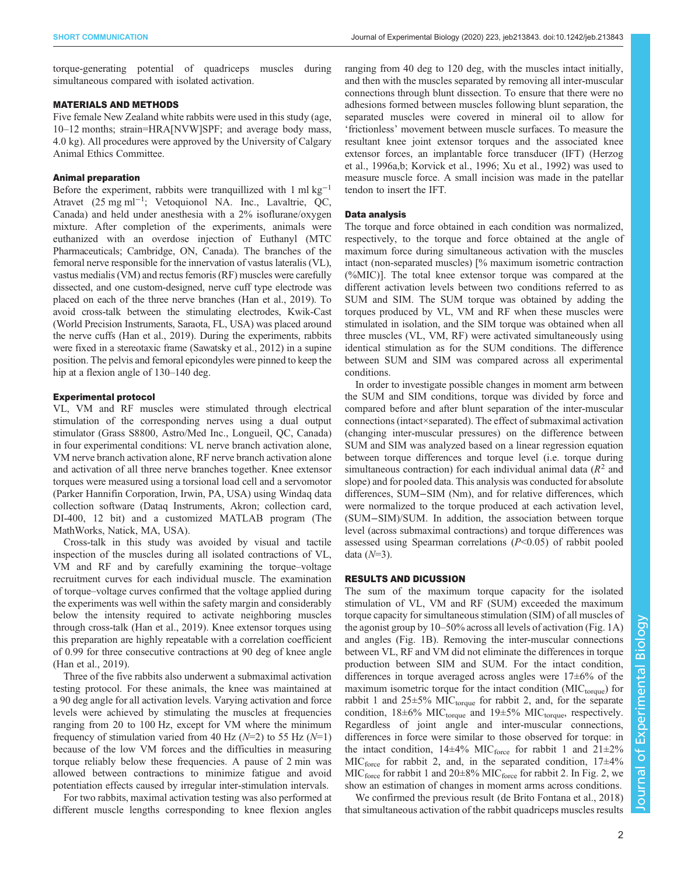torque-generating potential of quadriceps muscles during simultaneous compared with isolated activation.

# MATERIALS AND METHODS

Five female New Zealand white rabbits were used in this study (age, 10–12 months; strain=HRA[NVW]SPF; and average body mass, 4.0 kg). All procedures were approved by the University of Calgary Animal Ethics Committee.

## Animal preparation

Before the experiment, rabbits were tranquillized with 1 ml kg<sup>-1</sup> Atravet (25 mg ml−<sup>1</sup> ; Vetoquionol NA. Inc., Lavaltrie, QC, Canada) and held under anesthesia with a 2% isoflurane/oxygen mixture. After completion of the experiments, animals were euthanized with an overdose injection of Euthanyl (MTC Pharmaceuticals; Cambridge, ON, Canada). The branches of the femoral nerve responsible for the innervation of vastus lateralis (VL), vastus medialis (VM) and rectus femoris (RF) muscles were carefully dissected, and one custom-designed, nerve cuff type electrode was placed on each of the three nerve branches ([Han et al., 2019](#page-4-0)). To avoid cross-talk between the stimulating electrodes, Kwik-Cast (World Precision Instruments, Saraota, FL, USA) was placed around the nerve cuffs ([Han et al., 2019](#page-4-0)). During the experiments, rabbits were fixed in a stereotaxic frame ([Sawatsky et al., 2012\)](#page-4-0) in a supine position. The pelvis and femoral epicondyles were pinned to keep the hip at a flexion angle of 130–140 deg.

### Experimental protocol

VL, VM and RF muscles were stimulated through electrical stimulation of the corresponding nerves using a dual output stimulator (Grass S8800, Astro/Med Inc., Longueil, QC, Canada) in four experimental conditions: VL nerve branch activation alone, VM nerve branch activation alone, RF nerve branch activation alone and activation of all three nerve branches together. Knee extensor torques were measured using a torsional load cell and a servomotor (Parker Hannifin Corporation, Irwin, PA, USA) using Windaq data collection software (Dataq Instruments, Akron; collection card, DI-400, 12 bit) and a customized MATLAB program (The MathWorks, Natick, MA, USA).

Cross-talk in this study was avoided by visual and tactile inspection of the muscles during all isolated contractions of VL, VM and RF and by carefully examining the torque–voltage recruitment curves for each individual muscle. The examination of torque–voltage curves confirmed that the voltage applied during the experiments was well within the safety margin and considerably below the intensity required to activate neighboring muscles through cross-talk [\(Han et al., 2019\)](#page-4-0). Knee extensor torques using this preparation are highly repeatable with a correlation coefficient of 0.99 for three consecutive contractions at 90 deg of knee angle [\(Han et al., 2019](#page-4-0)).

Three of the five rabbits also underwent a submaximal activation testing protocol. For these animals, the knee was maintained at a 90 deg angle for all activation levels. Varying activation and force levels were achieved by stimulating the muscles at frequencies ranging from 20 to 100 Hz, except for VM where the minimum frequency of stimulation varied from 40 Hz  $(N=2)$  to 55 Hz  $(N=1)$ because of the low VM forces and the difficulties in measuring torque reliably below these frequencies. A pause of 2 min was allowed between contractions to minimize fatigue and avoid potentiation effects caused by irregular inter-stimulation intervals.

For two rabbits, maximal activation testing was also performed at different muscle lengths corresponding to knee flexion angles ranging from 40 deg to 120 deg, with the muscles intact initially, and then with the muscles separated by removing all inter-muscular connections through blunt dissection. To ensure that there were no adhesions formed between muscles following blunt separation, the separated muscles were covered in mineral oil to allow for 'frictionless' movement between muscle surfaces. To measure the resultant knee joint extensor torques and the associated knee extensor forces, an implantable force transducer (IFT) [\(Herzog](#page-4-0) [et al., 1996a](#page-4-0),[b; Korvick et al., 1996](#page-4-0); [Xu et al., 1992\)](#page-4-0) was used to measure muscle force. A small incision was made in the patellar tendon to insert the IFT.

## Data analysis

The torque and force obtained in each condition was normalized, respectively, to the torque and force obtained at the angle of maximum force during simultaneous activation with the muscles intact (non-separated muscles) [% maximum isometric contraction (%MIC)]. The total knee extensor torque was compared at the different activation levels between two conditions referred to as SUM and SIM. The SUM torque was obtained by adding the torques produced by VL, VM and RF when these muscles were stimulated in isolation, and the SIM torque was obtained when all three muscles (VL, VM, RF) were activated simultaneously using identical stimulation as for the SUM conditions. The difference between SUM and SIM was compared across all experimental conditions.

In order to investigate possible changes in moment arm between the SUM and SIM conditions, torque was divided by force and compared before and after blunt separation of the inter-muscular connections (intact×separated). The effect of submaximal activation (changing inter-muscular pressures) on the difference between SUM and SIM was analyzed based on a linear regression equation between torque differences and torque level (i.e. torque during simultaneous contraction) for each individual animal data  $(R^2$  and slope) and for pooled data. This analysis was conducted for absolute differences, SUM−SIM (Nm), and for relative differences, which were normalized to the torque produced at each activation level, (SUM−SIM)/SUM. In addition, the association between torque level (across submaximal contractions) and torque differences was assessed using Spearman correlations  $(P<0.05)$  of rabbit pooled data  $(N=3)$ .

# RESULTS AND DICUSSION

The sum of the maximum torque capacity for the isolated stimulation of VL, VM and RF (SUM) exceeded the maximum torque capacity for simultaneous stimulation (SIM) of all muscles of the agonist group by 10–50% across all levels of activation ([Fig. 1](#page-2-0)A) and angles [\(Fig. 1](#page-2-0)B). Removing the inter-muscular connections between VL, RF and VM did not eliminate the differences in torque production between SIM and SUM. For the intact condition, differences in torque averaged across angles were 17±6% of the maximum isometric torque for the intact condition  $(MIC_{torque})$  for rabbit 1 and  $25\pm5\%$  MIC<sub>torque</sub> for rabbit 2, and, for the separate condition,  $18\pm6\%$  MIC<sub>torque</sub> and  $19\pm5\%$  MIC<sub>torque</sub>, respectively. Regardless of joint angle and inter-muscular connections, differences in force were similar to those observed for torque: in the intact condition,  $14\pm4\%$  MIC<sub>force</sub> for rabbit 1 and  $21\pm2\%$  $MIC<sub>force</sub>$  for rabbit 2, and, in the separated condition,  $17\pm4\%$  $MIC<sub>force</sub>$  for rabbit 1 and 20 $\pm 8\%$  MIC<sub>force</sub> for rabbit 2. In [Fig. 2,](#page-2-0) we show an estimation of changes in moment arms across conditions.

We confirmed the previous result ([de Brito Fontana et al., 2018\)](#page-4-0) that simultaneous activation of the rabbit quadriceps muscles results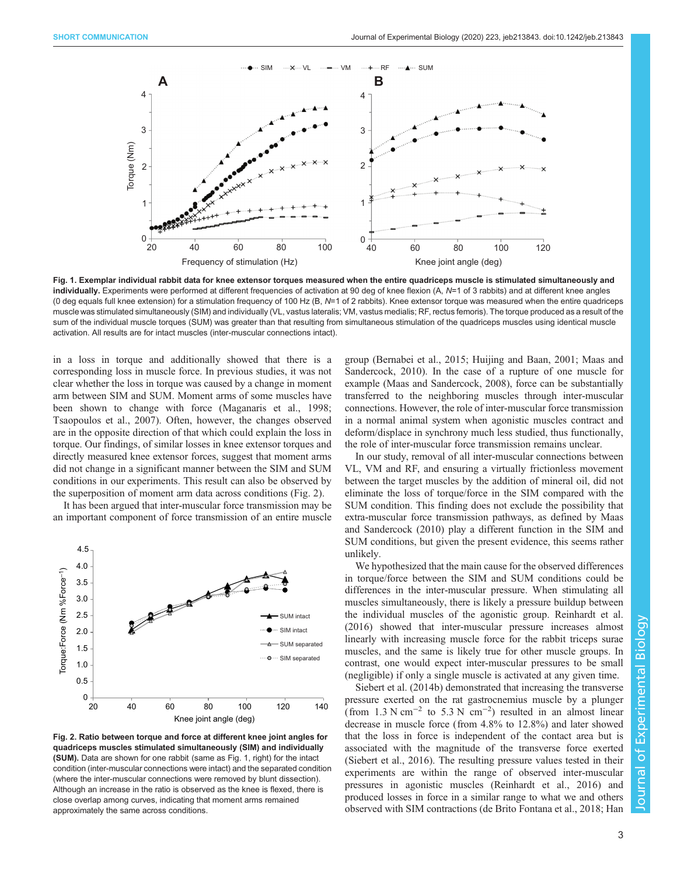<span id="page-2-0"></span>

Fig. 1. Exemplar individual rabbit data for knee extensor torques measured when the entire quadriceps muscle is stimulated simultaneously and individually. Experiments were performed at different frequencies of activation at 90 deg of knee flexion (A, N=1 of 3 rabbits) and at different knee angles (0 deg equals full knee extension) for a stimulation frequency of 100 Hz (B, N=1 of 2 rabbits). Knee extensor torque was measured when the entire quadriceps muscle was stimulated simultaneously (SIM) and individually (VL, vastus lateralis; VM, vastus medialis; RF, rectus femoris). The torque produced as a result of the sum of the individual muscle torques (SUM) was greater than that resulting from simultaneous stimulation of the quadriceps muscles using identical muscle activation. All results are for intact muscles (inter-muscular connections intact).

in a loss in torque and additionally showed that there is a corresponding loss in muscle force. In previous studies, it was not clear whether the loss in torque was caused by a change in moment arm between SIM and SUM. Moment arms of some muscles have been shown to change with force [\(Maganaris et al., 1998](#page-4-0); [Tsaopoulos et al., 2007\)](#page-4-0). Often, however, the changes observed are in the opposite direction of that which could explain the loss in torque. Our findings, of similar losses in knee extensor torques and directly measured knee extensor forces, suggest that moment arms did not change in a significant manner between the SIM and SUM conditions in our experiments. This result can also be observed by the superposition of moment arm data across conditions (Fig. 2).

It has been argued that inter-muscular force transmission may be an important component of force transmission of an entire muscle



Fig. 2. Ratio between torque and force at different knee joint angles for quadriceps muscles stimulated simultaneously (SIM) and individually (SUM). Data are shown for one rabbit (same as Fig. 1, right) for the intact condition (inter-muscular connections were intact) and the separated condition (where the inter-muscular connections were removed by blunt dissection). Although an increase in the ratio is observed as the knee is flexed, there is close overlap among curves, indicating that moment arms remained approximately the same across conditions.

group [\(Bernabei et al., 2015; Huijing and Baan, 2001; Maas and](#page-4-0) [Sandercock, 2010\)](#page-4-0). In the case of a rupture of one muscle for example ([Maas and Sandercock, 2008](#page-4-0)), force can be substantially transferred to the neighboring muscles through inter-muscular connections. However, the role of inter-muscular force transmission in a normal animal system when agonistic muscles contract and deform/displace in synchrony much less studied, thus functionally, the role of inter-muscular force transmission remains unclear.

In our study, removal of all inter-muscular connections between VL, VM and RF, and ensuring a virtually frictionless movement between the target muscles by the addition of mineral oil, did not eliminate the loss of torque/force in the SIM compared with the SUM condition. This finding does not exclude the possibility that extra-muscular force transmission pathways, as defined by [Maas](#page-4-0) [and Sandercock \(2010\)](#page-4-0) play a different function in the SIM and SUM conditions, but given the present evidence, this seems rather unlikely.

We hypothesized that the main cause for the observed differences in torque/force between the SIM and SUM conditions could be differences in the inter-muscular pressure. When stimulating all muscles simultaneously, there is likely a pressure buildup between the individual muscles of the agonistic group. [Reinhardt et al.](#page-4-0) [\(2016\)](#page-4-0) showed that inter-muscular pressure increases almost linearly with increasing muscle force for the rabbit triceps surae muscles, and the same is likely true for other muscle groups. In contrast, one would expect inter-muscular pressures to be small (negligible) if only a single muscle is activated at any given time.

[Siebert et al. \(2014b\)](#page-4-0) demonstrated that increasing the transverse pressure exerted on the rat gastrocnemius muscle by a plunger (from 1.3 N cm<sup>-2</sup> to 5.3 N cm<sup>-2</sup>) resulted in an almost linear decrease in muscle force (from 4.8% to 12.8%) and later showed that the loss in force is independent of the contact area but is associated with the magnitude of the transverse force exerted [\(Siebert et al., 2016](#page-4-0)). The resulting pressure values tested in their experiments are within the range of observed inter-muscular pressures in agonistic muscles [\(Reinhardt et al., 2016\)](#page-4-0) and produced losses in force in a similar range to what we and others observed with SIM contractions ([de Brito Fontana et al., 2018](#page-4-0); [Han](#page-4-0)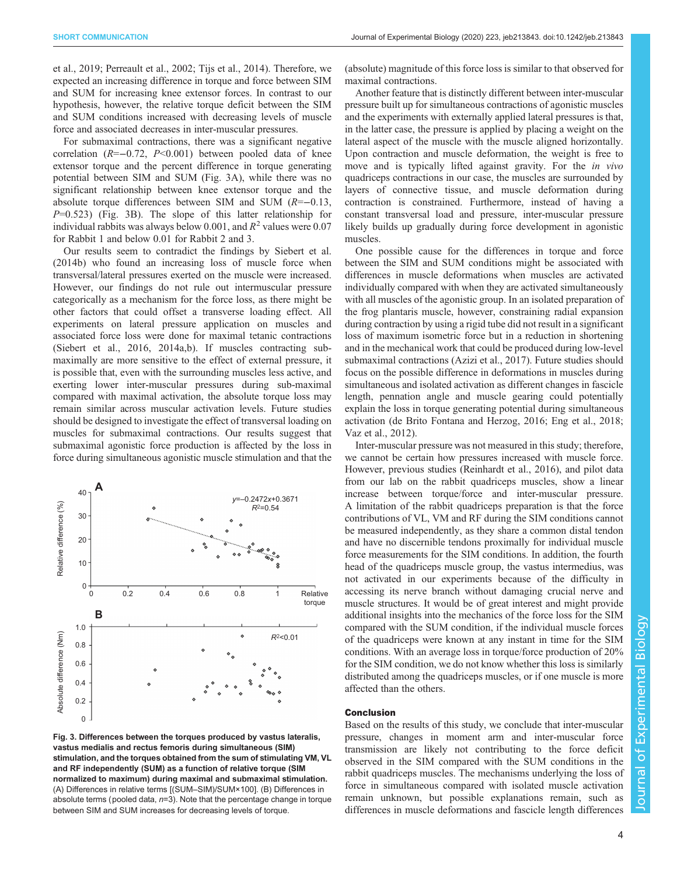[et al., 2019; Perreault et al., 2002](#page-4-0); [Tijs et al., 2014](#page-4-0)). Therefore, we expected an increasing difference in torque and force between SIM and SUM for increasing knee extensor forces. In contrast to our hypothesis, however, the relative torque deficit between the SIM and SUM conditions increased with decreasing levels of muscle force and associated decreases in inter-muscular pressures.

For submaximal contractions, there was a significant negative correlation (R=−0.72, P<0.001) between pooled data of knee extensor torque and the percent difference in torque generating potential between SIM and SUM (Fig. 3A), while there was no significant relationship between knee extensor torque and the absolute torque differences between SIM and SUM (R=−0.13,  $P=0.523$ ) (Fig. 3B). The slope of this latter relationship for individual rabbits was always below 0.001, and  $R^2$  values were 0.07 for Rabbit 1 and below 0.01 for Rabbit 2 and 3.

Our results seem to contradict the findings by [Siebert et al.](#page-4-0) [\(2014b\)](#page-4-0) who found an increasing loss of muscle force when transversal/lateral pressures exerted on the muscle were increased. However, our findings do not rule out intermuscular pressure categorically as a mechanism for the force loss, as there might be other factors that could offset a transverse loading effect. All experiments on lateral pressure application on muscles and associated force loss were done for maximal tetanic contractions [\(Siebert et al., 2016, 2014a,b\)](#page-4-0). If muscles contracting submaximally are more sensitive to the effect of external pressure, it is possible that, even with the surrounding muscles less active, and exerting lower inter-muscular pressures during sub-maximal compared with maximal activation, the absolute torque loss may remain similar across muscular activation levels. Future studies should be designed to investigate the effect of transversal loading on muscles for submaximal contractions. Our results suggest that submaximal agonistic force production is affected by the loss in force during simultaneous agonistic muscle stimulation and that the



Fig. 3. Differences between the torques produced by vastus lateralis, vastus medialis and rectus femoris during simultaneous (SIM) stimulation, and the torques obtained from the sum of stimulating VM, VL and RF independently (SUM) as a function of relative torque (SIM normalized to maximum) during maximal and submaximal stimulation. (A) Differences in relative terms [(SUM–SIM)/SUM×100]. (B) Differences in absolute terms (pooled data,  $n=3$ ). Note that the percentage change in torque between SIM and SUM increases for decreasing levels of torque.

(absolute) magnitude of this force loss is similar to that observed for maximal contractions.

Another feature that is distinctly different between inter-muscular pressure built up for simultaneous contractions of agonistic muscles and the experiments with externally applied lateral pressures is that, in the latter case, the pressure is applied by placing a weight on the lateral aspect of the muscle with the muscle aligned horizontally. Upon contraction and muscle deformation, the weight is free to move and is typically lifted against gravity. For the *in vivo* quadriceps contractions in our case, the muscles are surrounded by layers of connective tissue, and muscle deformation during contraction is constrained. Furthermore, instead of having a constant transversal load and pressure, inter-muscular pressure likely builds up gradually during force development in agonistic muscles.

One possible cause for the differences in torque and force between the SIM and SUM conditions might be associated with differences in muscle deformations when muscles are activated individually compared with when they are activated simultaneously with all muscles of the agonistic group. In an isolated preparation of the frog plantaris muscle, however, constraining radial expansion during contraction by using a rigid tube did not result in a significant loss of maximum isometric force but in a reduction in shortening and in the mechanical work that could be produced during low-level submaximal contractions [\(Azizi et al., 2017](#page-4-0)). Future studies should focus on the possible difference in deformations in muscles during simultaneous and isolated activation as different changes in fascicle length, pennation angle and muscle gearing could potentially explain the loss in torque generating potential during simultaneous activation [\(de Brito Fontana and Herzog, 2016](#page-4-0); [Eng et al., 2018](#page-4-0); [Vaz et al., 2012](#page-4-0)).

Inter-muscular pressure was not measured in this study; therefore, we cannot be certain how pressures increased with muscle force. However, previous studies [\(Reinhardt et al., 2016\)](#page-4-0), and pilot data from our lab on the rabbit quadriceps muscles, show a linear increase between torque/force and inter-muscular pressure. A limitation of the rabbit quadriceps preparation is that the force contributions of VL, VM and RF during the SIM conditions cannot be measured independently, as they share a common distal tendon and have no discernible tendons proximally for individual muscle force measurements for the SIM conditions. In addition, the fourth head of the quadriceps muscle group, the vastus intermedius, was not activated in our experiments because of the difficulty in accessing its nerve branch without damaging crucial nerve and muscle structures. It would be of great interest and might provide additional insights into the mechanics of the force loss for the SIM compared with the SUM condition, if the individual muscle forces of the quadriceps were known at any instant in time for the SIM conditions. With an average loss in torque/force production of 20% for the SIM condition, we do not know whether this loss is similarly distributed among the quadriceps muscles, or if one muscle is more affected than the others.

# Conclusion

Based on the results of this study, we conclude that inter-muscular pressure, changes in moment arm and inter-muscular force transmission are likely not contributing to the force deficit observed in the SIM compared with the SUM conditions in the rabbit quadriceps muscles. The mechanisms underlying the loss of force in simultaneous compared with isolated muscle activation remain unknown, but possible explanations remain, such as differences in muscle deformations and fascicle length differences